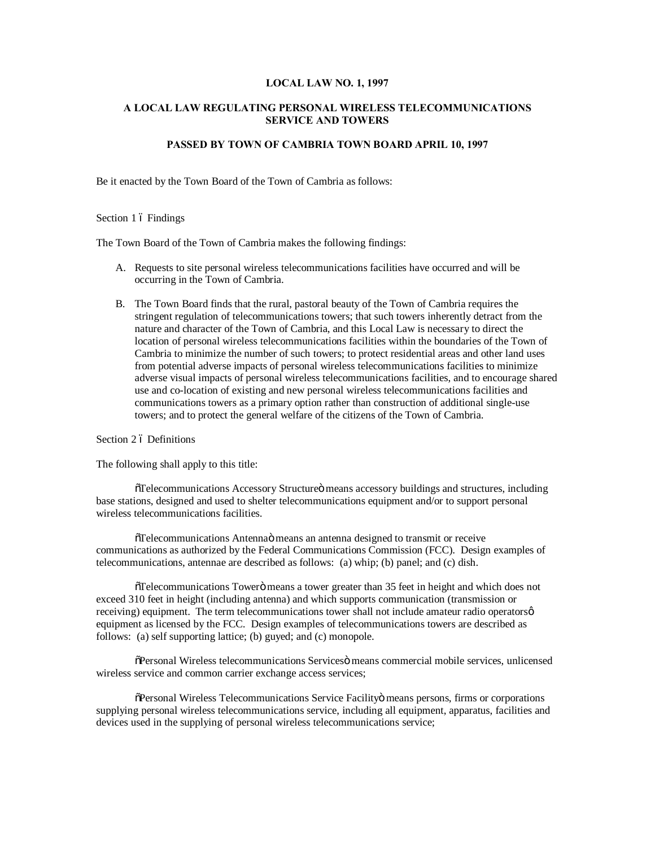#### **LOCAL LAW NO. 1, 1997**

# **A LOCAL LAW REGULATING PERSONAL WIRELESS TELECOMMUNICATIONS SERVICE AND TOWERS**

# **PASSED BY TOWN OF CAMBRIA TOWN BOARD APRIL 10, 1997**

Be it enacted by the Town Board of the Town of Cambria as follows:

## Section 1 ó Findings

The Town Board of the Town of Cambria makes the following findings:

- A. Requests to site personal wireless telecommunications facilities have occurred and will be occurring in the Town of Cambria.
- B. The Town Board finds that the rural, pastoral beauty of the Town of Cambria requires the stringent regulation of telecommunications towers; that such towers inherently detract from the nature and character of the Town of Cambria, and this Local Law is necessary to direct the location of personal wireless telecommunications facilities within the boundaries of the Town of Cambria to minimize the number of such towers; to protect residential areas and other land uses from potential adverse impacts of personal wireless telecommunications facilities to minimize adverse visual impacts of personal wireless telecommunications facilities, and to encourage shared use and co-location of existing and new personal wireless telecommunications facilities and communications towers as a primary option rather than construction of additional single-use towers; and to protect the general welfare of the citizens of the Town of Cambria.

Section 2 ó Definitions

The following shall apply to this title:

 $\delta$ Telecommunications Accessory Structure $\ddot{o}$  means accessory buildings and structures, including base stations, designed and used to shelter telecommunications equipment and/or to support personal wireless telecommunications facilities.

"Telecommunications Antenna" means an antenna designed to transmit or receive communications as authorized by the Federal Communications Commission (FCC). Design examples of telecommunications, antennae are described as follows: (a) whip; (b) panel; and (c) dish.

 $\delta$ Telecommunications Towerö means a tower greater than 35 feet in height and which does not exceed 310 feet in height (including antenna) and which supports communication (transmission or receiving) equipment. The term telecommunications tower shall not include amateur radio operatorsø equipment as licensed by the FCC. Design examples of telecommunications towers are described as follows: (a) self supporting lattice; (b) guyed; and (c) monopole.

 $\tilde{\sigma}$ Personal Wireless telecommunications Services means commercial mobile services, unlicensed wireless service and common carrier exchange access services;

 $\delta$ Personal Wireless Telecommunications Service Facilityö means persons, firms or corporations supplying personal wireless telecommunications service, including all equipment, apparatus, facilities and devices used in the supplying of personal wireless telecommunications service;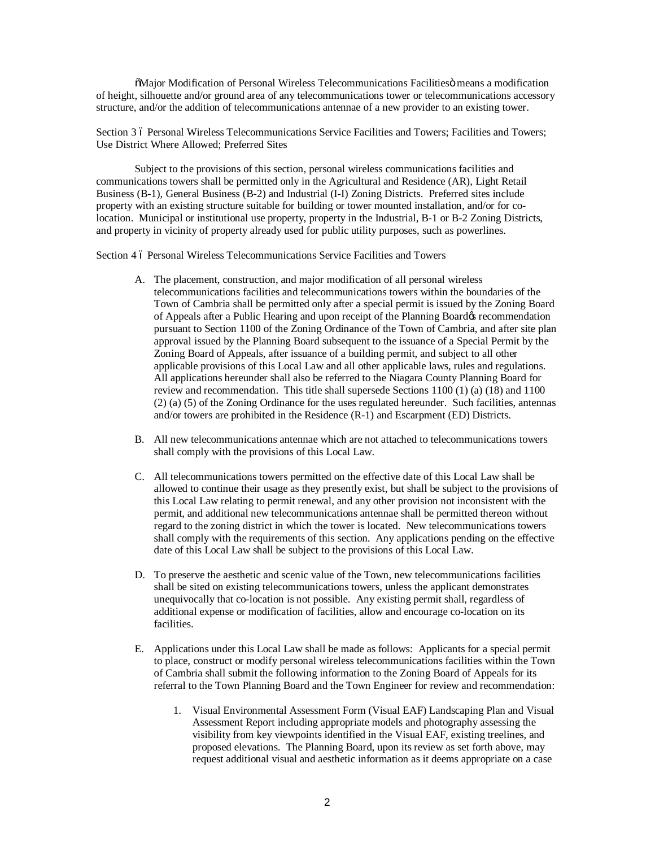$\tilde{M}$ ajor Modification of Personal Wireless Telecommunications Facilities means a modification of height, silhouette and/or ground area of any telecommunications tower or telecommunications accessory structure, and/or the addition of telecommunications antennae of a new provider to an existing tower.

Section 3 6 Personal Wireless Telecommunications Service Facilities and Towers; Facilities and Towers; Use District Where Allowed; Preferred Sites

Subject to the provisions of this section, personal wireless communications facilities and communications towers shall be permitted only in the Agricultural and Residence (AR), Light Retail Business (B-1), General Business (B-2) and Industrial (I-I) Zoning Districts. Preferred sites include property with an existing structure suitable for building or tower mounted installation, and/or for colocation. Municipal or institutional use property, property in the Industrial, B-1 or B-2 Zoning Districts, and property in vicinity of property already used for public utility purposes, such as powerlines.

Section 4 6 Personal Wireless Telecommunications Service Facilities and Towers

- A. The placement, construction, and major modification of all personal wireless telecommunications facilities and telecommunications towers within the boundaries of the Town of Cambria shall be permitted only after a special permit is issued by the Zoning Board of Appeals after a Public Hearing and upon receipt of the Planning Board& recommendation pursuant to Section 1100 of the Zoning Ordinance of the Town of Cambria, and after site plan approval issued by the Planning Board subsequent to the issuance of a Special Permit by the Zoning Board of Appeals, after issuance of a building permit, and subject to all other applicable provisions of this Local Law and all other applicable laws, rules and regulations. All applications hereunder shall also be referred to the Niagara County Planning Board for review and recommendation. This title shall supersede Sections 1100 (1) (a) (18) and 1100 (2) (a) (5) of the Zoning Ordinance for the uses regulated hereunder. Such facilities, antennas and/or towers are prohibited in the Residence (R-1) and Escarpment (ED) Districts.
- B. All new telecommunications antennae which are not attached to telecommunications towers shall comply with the provisions of this Local Law.
- C. All telecommunications towers permitted on the effective date of this Local Law shall be allowed to continue their usage as they presently exist, but shall be subject to the provisions of this Local Law relating to permit renewal, and any other provision not inconsistent with the permit, and additional new telecommunications antennae shall be permitted thereon without regard to the zoning district in which the tower is located. New telecommunications towers shall comply with the requirements of this section. Any applications pending on the effective date of this Local Law shall be subject to the provisions of this Local Law.
- D. To preserve the aesthetic and scenic value of the Town, new telecommunications facilities shall be sited on existing telecommunications towers, unless the applicant demonstrates unequivocally that co-location is not possible. Any existing permit shall, regardless of additional expense or modification of facilities, allow and encourage co-location on its facilities.
- E. Applications under this Local Law shall be made as follows: Applicants for a special permit to place, construct or modify personal wireless telecommunications facilities within the Town of Cambria shall submit the following information to the Zoning Board of Appeals for its referral to the Town Planning Board and the Town Engineer for review and recommendation:
	- 1. Visual Environmental Assessment Form (Visual EAF) Landscaping Plan and Visual Assessment Report including appropriate models and photography assessing the visibility from key viewpoints identified in the Visual EAF, existing treelines, and proposed elevations. The Planning Board, upon its review as set forth above, may request additional visual and aesthetic information as it deems appropriate on a case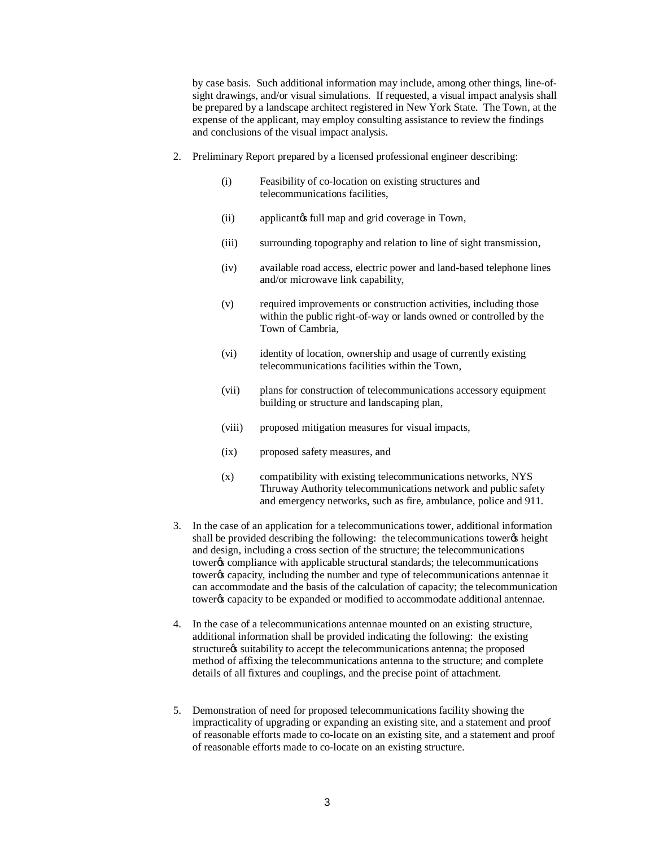by case basis. Such additional information may include, among other things, line-ofsight drawings, and/or visual simulations. If requested, a visual impact analysis shall be prepared by a landscape architect registered in New York State. The Town, at the expense of the applicant, may employ consulting assistance to review the findings and conclusions of the visual impact analysis.

- 2. Preliminary Report prepared by a licensed professional engineer describing:
	- (i) Feasibility of co-location on existing structures and telecommunications facilities,
	- (ii) applicant is full map and grid coverage in Town,
	- (iii) surrounding topography and relation to line of sight transmission,
	- (iv) available road access, electric power and land-based telephone lines and/or microwave link capability,
	- (v) required improvements or construction activities, including those within the public right-of-way or lands owned or controlled by the Town of Cambria,
	- (vi) identity of location, ownership and usage of currently existing telecommunications facilities within the Town,
	- (vii) plans for construction of telecommunications accessory equipment building or structure and landscaping plan,
	- (viii) proposed mitigation measures for visual impacts,
	- (ix) proposed safety measures, and
	- (x) compatibility with existing telecommunications networks, NYS Thruway Authority telecommunications network and public safety and emergency networks, such as fire, ambulance, police and 911.
- 3. In the case of an application for a telecommunications tower, additional information shall be provided describing the following: the telecommunications tower  $\alpha$  height and design, including a cross section of the structure; the telecommunications tower% compliance with applicable structural standards; the telecommunications tower% capacity, including the number and type of telecommunications antennae it can accommodate and the basis of the calculation of capacity; the telecommunication tower% capacity to be expanded or modified to accommodate additional antennae.
- 4. In the case of a telecommunications antennae mounted on an existing structure, additional information shall be provided indicating the following: the existing structure as suitability to accept the telecommunications antenna; the proposed method of affixing the telecommunications antenna to the structure; and complete details of all fixtures and couplings, and the precise point of attachment.
- 5. Demonstration of need for proposed telecommunications facility showing the impracticality of upgrading or expanding an existing site, and a statement and proof of reasonable efforts made to co-locate on an existing site, and a statement and proof of reasonable efforts made to co-locate on an existing structure.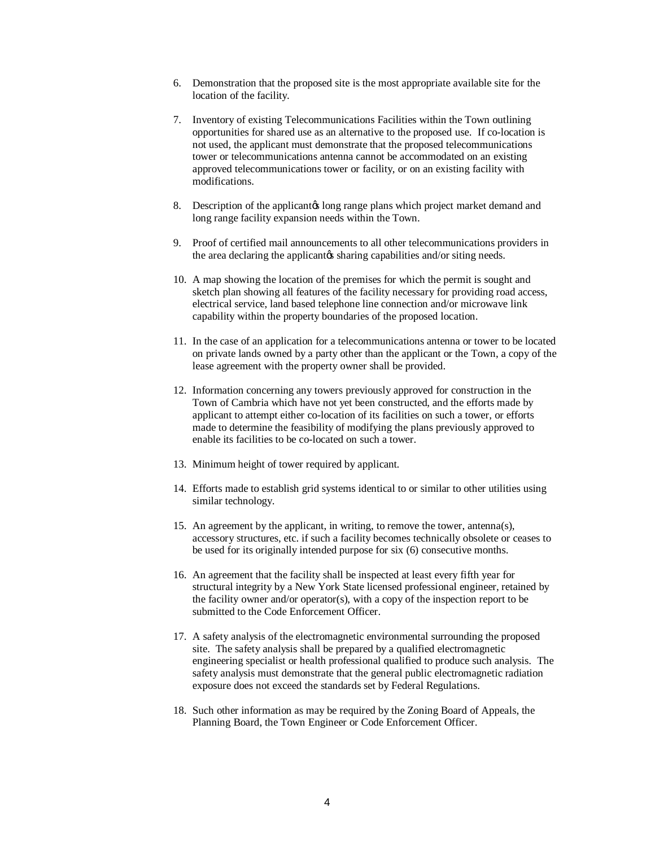- 6. Demonstration that the proposed site is the most appropriate available site for the location of the facility.
- 7. Inventory of existing Telecommunications Facilities within the Town outlining opportunities for shared use as an alternative to the proposed use. If co-location is not used, the applicant must demonstrate that the proposed telecommunications tower or telecommunications antenna cannot be accommodated on an existing approved telecommunications tower or facility, or on an existing facility with modifications.
- 8. Description of the applicant to long range plans which project market demand and long range facility expansion needs within the Town.
- 9. Proof of certified mail announcements to all other telecommunications providers in the area declaring the applicant to sharing capabilities and/or siting needs.
- 10. A map showing the location of the premises for which the permit is sought and sketch plan showing all features of the facility necessary for providing road access, electrical service, land based telephone line connection and/or microwave link capability within the property boundaries of the proposed location.
- 11. In the case of an application for a telecommunications antenna or tower to be located on private lands owned by a party other than the applicant or the Town, a copy of the lease agreement with the property owner shall be provided.
- 12. Information concerning any towers previously approved for construction in the Town of Cambria which have not yet been constructed, and the efforts made by applicant to attempt either co-location of its facilities on such a tower, or efforts made to determine the feasibility of modifying the plans previously approved to enable its facilities to be co-located on such a tower.
- 13. Minimum height of tower required by applicant.
- 14. Efforts made to establish grid systems identical to or similar to other utilities using similar technology.
- 15. An agreement by the applicant, in writing, to remove the tower, antenna(s), accessory structures, etc. if such a facility becomes technically obsolete or ceases to be used for its originally intended purpose for six (6) consecutive months.
- 16. An agreement that the facility shall be inspected at least every fifth year for structural integrity by a New York State licensed professional engineer, retained by the facility owner and/or operator(s), with a copy of the inspection report to be submitted to the Code Enforcement Officer.
- 17. A safety analysis of the electromagnetic environmental surrounding the proposed site. The safety analysis shall be prepared by a qualified electromagnetic engineering specialist or health professional qualified to produce such analysis. The safety analysis must demonstrate that the general public electromagnetic radiation exposure does not exceed the standards set by Federal Regulations.
- 18. Such other information as may be required by the Zoning Board of Appeals, the Planning Board, the Town Engineer or Code Enforcement Officer.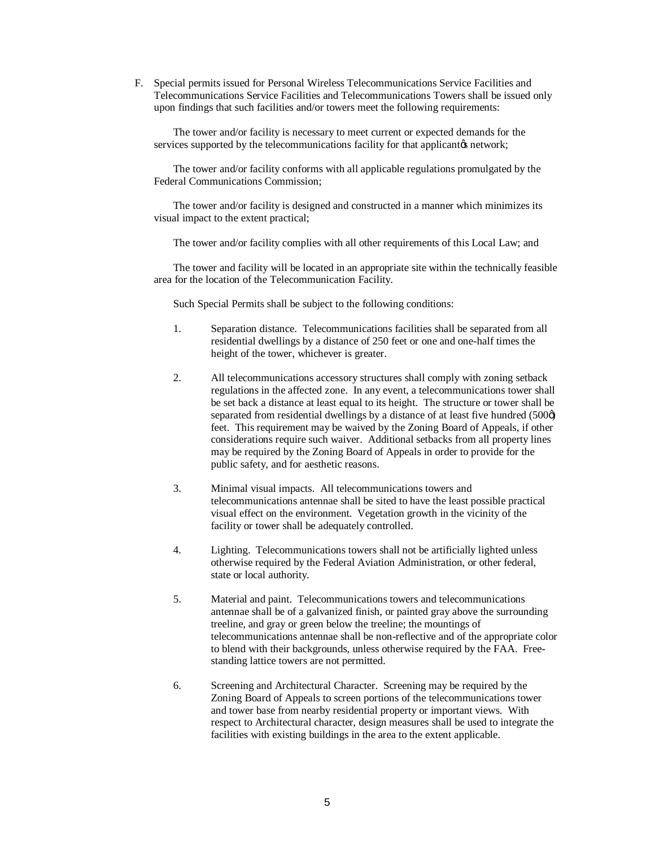F. Special permits issued for Personal Wireless Telecommunications Service Facilities and Telecommunications Service Facilities and Telecommunications Towers shall be issued only upon findings that such facilities and/or towers meet the following requirements:

The tower and/or facility is necessary to meet current or expected demands for the services supported by the telecommunications facility for that applicantos network;

The tower and/or facility conforms with all applicable regulations promulgated by the Federal Communications Commission;

The tower and/or facility is designed and constructed in a manner which minimizes its visual impact to the extent practical;

The tower and/or facility complies with all other requirements of this Local Law; and

The tower and facility will be located in an appropriate site within the technically feasible area for the location of the Telecommunication Facility.

Such Special Permits shall be subject to the following conditions:

- 1. Separation distance. Telecommunications facilities shall be separated from all residential dwellings by a distance of 250 feet or one and one-half times the height of the tower, whichever is greater.
- 2. All telecommunications accessory structures shall comply with zoning setback regulations in the affected zone. In any event, a telecommunications tower shall be set back a distance at least equal to its height. The structure or tower shall be separated from residential dwellings by a distance of at least five hundred (500 $\phi$ ) feet. This requirement may be waived by the Zoning Board of Appeals, if other considerations require such waiver. Additional setbacks from all property lines may be required by the Zoning Board of Appeals in order to provide for the public safety, and for aesthetic reasons.
- 3. Minimal visual impacts. All telecommunications towers and telecommunications antennae shall be sited to have the least possible practical visual effect on the environment. Vegetation growth in the vicinity of the facility or tower shall be adequately controlled.
- 4. Lighting. Telecommunications towers shall not be artificially lighted unless otherwise required by the Federal Aviation Administration, or other federal, state or local authority.
- 5. Material and paint. Telecommunications towers and telecommunications antennae shall be of a galvanized finish, or painted gray above the surrounding treeline, and gray or green below the treeline; the mountings of telecommunications antennae shall be non-reflective and of the appropriate color to blend with their backgrounds, unless otherwise required by the FAA. Freestanding lattice towers are not permitted.
- 6. Screening and Architectural Character. Screening may be required by the Zoning Board of Appeals to screen portions of the telecommunications tower and tower base from nearby residential property or important views. With respect to Architectural character, design measures shall be used to integrate the facilities with existing buildings in the area to the extent applicable.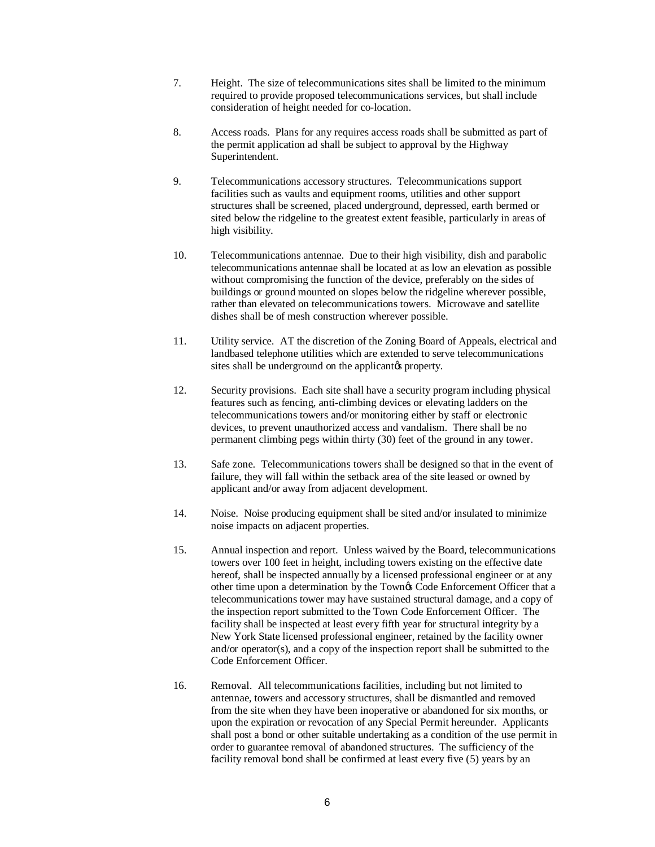- 7. Height. The size of telecommunications sites shall be limited to the minimum required to provide proposed telecommunications services, but shall include consideration of height needed for co-location.
- 8. Access roads. Plans for any requires access roads shall be submitted as part of the permit application ad shall be subject to approval by the Highway Superintendent.
- 9. Telecommunications accessory structures. Telecommunications support facilities such as vaults and equipment rooms, utilities and other support structures shall be screened, placed underground, depressed, earth bermed or sited below the ridgeline to the greatest extent feasible, particularly in areas of high visibility.
- 10. Telecommunications antennae. Due to their high visibility, dish and parabolic telecommunications antennae shall be located at as low an elevation as possible without compromising the function of the device, preferably on the sides of buildings or ground mounted on slopes below the ridgeline wherever possible, rather than elevated on telecommunications towers. Microwave and satellite dishes shall be of mesh construction wherever possible.
- 11. Utility service. AT the discretion of the Zoning Board of Appeals, electrical and landbased telephone utilities which are extended to serve telecommunications sites shall be underground on the applicant  $\alpha$  property.
- 12. Security provisions. Each site shall have a security program including physical features such as fencing, anti-climbing devices or elevating ladders on the telecommunications towers and/or monitoring either by staff or electronic devices, to prevent unauthorized access and vandalism. There shall be no permanent climbing pegs within thirty (30) feet of the ground in any tower.
- 13. Safe zone. Telecommunications towers shall be designed so that in the event of failure, they will fall within the setback area of the site leased or owned by applicant and/or away from adjacent development.
- 14. Noise. Noise producing equipment shall be sited and/or insulated to minimize noise impacts on adjacent properties.
- 15. Annual inspection and report. Unless waived by the Board, telecommunications towers over 100 feet in height, including towers existing on the effective date hereof, shall be inspected annually by a licensed professional engineer or at any other time upon a determination by the Town's Code Enforcement Officer that a telecommunications tower may have sustained structural damage, and a copy of the inspection report submitted to the Town Code Enforcement Officer. The facility shall be inspected at least every fifth year for structural integrity by a New York State licensed professional engineer, retained by the facility owner and/or operator(s), and a copy of the inspection report shall be submitted to the Code Enforcement Officer.
- 16. Removal. All telecommunications facilities, including but not limited to antennae, towers and accessory structures, shall be dismantled and removed from the site when they have been inoperative or abandoned for six months, or upon the expiration or revocation of any Special Permit hereunder. Applicants shall post a bond or other suitable undertaking as a condition of the use permit in order to guarantee removal of abandoned structures. The sufficiency of the facility removal bond shall be confirmed at least every five (5) years by an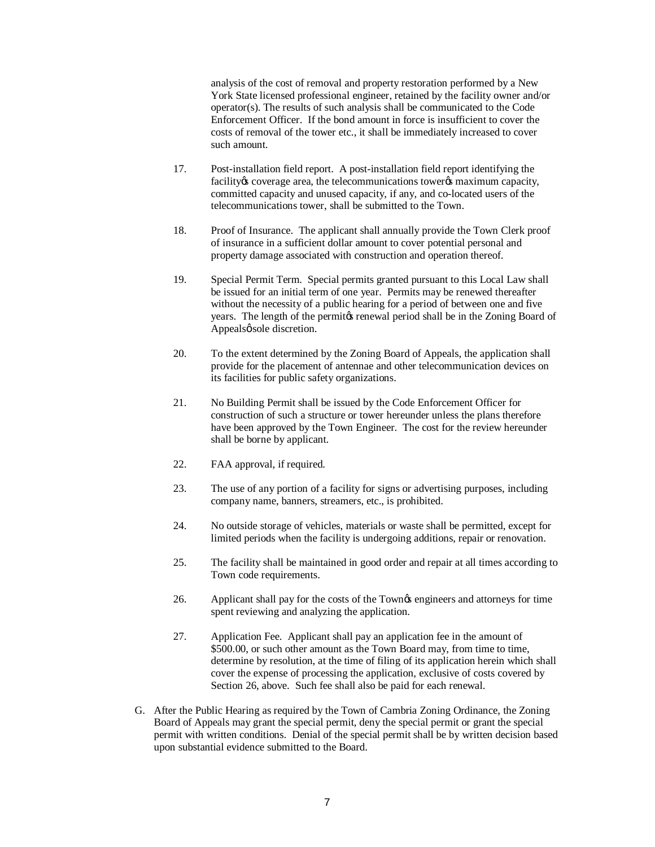analysis of the cost of removal and property restoration performed by a New York State licensed professional engineer, retained by the facility owner and/or operator(s). The results of such analysis shall be communicated to the Code Enforcement Officer. If the bond amount in force is insufficient to cover the costs of removal of the tower etc., it shall be immediately increased to cover such amount.

- 17. Post-installation field report. A post-installation field report identifying the facility to coverage area, the telecommunications tower to maximum capacity, committed capacity and unused capacity, if any, and co-located users of the telecommunications tower, shall be submitted to the Town.
- 18. Proof of Insurance. The applicant shall annually provide the Town Clerk proof of insurance in a sufficient dollar amount to cover potential personal and property damage associated with construction and operation thereof.
- 19. Special Permit Term. Special permits granted pursuant to this Local Law shall be issued for an initial term of one year. Permits may be renewed thereafter without the necessity of a public hearing for a period of between one and five years. The length of the permit to renewal period shall be in the Zoning Board of Appealsø sole discretion.
- 20. To the extent determined by the Zoning Board of Appeals, the application shall provide for the placement of antennae and other telecommunication devices on its facilities for public safety organizations.
- 21. No Building Permit shall be issued by the Code Enforcement Officer for construction of such a structure or tower hereunder unless the plans therefore have been approved by the Town Engineer. The cost for the review hereunder shall be borne by applicant.
- 22. FAA approval, if required.
- 23. The use of any portion of a facility for signs or advertising purposes, including company name, banners, streamers, etc., is prohibited.
- 24. No outside storage of vehicles, materials or waste shall be permitted, except for limited periods when the facility is undergoing additions, repair or renovation.
- 25. The facility shall be maintained in good order and repair at all times according to Town code requirements.
- 26. Applicant shall pay for the costs of the Town $\alpha$  engineers and attorneys for time spent reviewing and analyzing the application.
- 27. Application Fee. Applicant shall pay an application fee in the amount of \$500.00, or such other amount as the Town Board may, from time to time, determine by resolution, at the time of filing of its application herein which shall cover the expense of processing the application, exclusive of costs covered by Section 26, above. Such fee shall also be paid for each renewal.
- G. After the Public Hearing as required by the Town of Cambria Zoning Ordinance, the Zoning Board of Appeals may grant the special permit, deny the special permit or grant the special permit with written conditions. Denial of the special permit shall be by written decision based upon substantial evidence submitted to the Board.